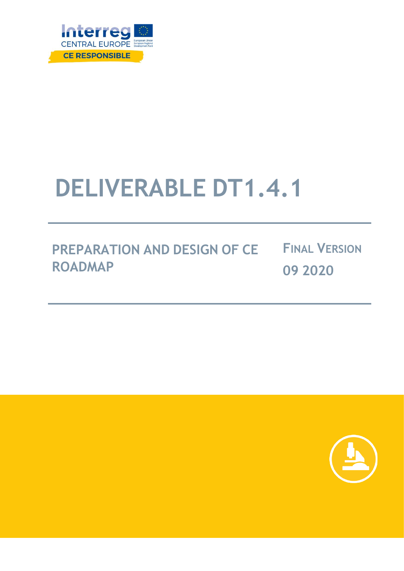

# **DELIVERABLE DT1.4.1**

**PREPARATION AND DESIGN OF CE ROADMAP FINAL VERSION 09 2020**

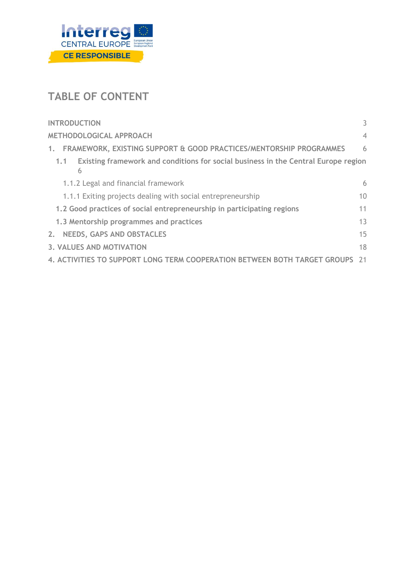

# **TABLE OF CONTENT**

| <b>INTRODUCTION</b>                                                                            | 3              |
|------------------------------------------------------------------------------------------------|----------------|
| <b>METHODOLOGICAL APPROACH</b>                                                                 | $\overline{4}$ |
| FRAMEWORK, EXISTING SUPPORT & GOOD PRACTICES/MENTORSHIP PROGRAMMES<br>1 <sub>1</sub>           | 6              |
| Existing framework and conditions for social business in the Central Europe region<br>1.1<br>6 |                |
| 1.1.2 Legal and financial framework                                                            | 6              |
| 1.1.1 Exiting projects dealing with social entrepreneurship                                    | 10             |
| 1.2 Good practices of social entrepreneurship in participating regions                         | 11             |
| 1.3 Mentorship programmes and practices                                                        | 13             |
| <b>NEEDS, GAPS AND OBSTACLES</b><br>2.                                                         | 15             |
| 3. VALUES AND MOTIVATION                                                                       | 18             |
| 4. ACTIVITIES TO SUPPORT LONG TERM COOPERATION BETWEEN BOTH TARGET GROUPS                      | - 21           |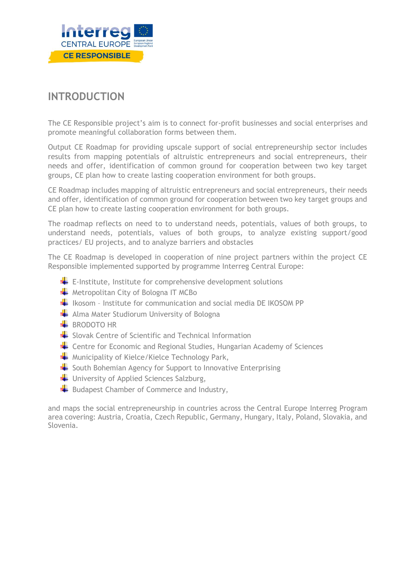

# <span id="page-2-0"></span>**INTRODUCTION**

The CE Responsible project's aim is to connect for-profit businesses and social enterprises and promote meaningful collaboration forms between them.

Output CE Roadmap for providing upscale support of social entrepreneurship sector includes results from mapping potentials of altruistic entrepreneurs and social entrepreneurs, their needs and offer, identification of common ground for cooperation between two key target groups, CE plan how to create lasting cooperation environment for both groups.

CE Roadmap includes mapping of altruistic entrepreneurs and social entrepreneurs, their needs and offer, identification of common ground for cooperation between two key target groups and CE plan how to create lasting cooperation environment for both groups.

The roadmap reflects on need to to understand needs, potentials, values of both groups, to understand needs, potentials, values of both groups, to analyze existing support/good practices/ EU projects, and to analyze barriers and obstacles

The CE Roadmap is developed in cooperation of nine project partners within the project CE Responsible implemented supported by programme Interreg Central Europe:

- $\overline{\phantom{a}}$  E-Institute, Institute for comprehensive development solutions
- $\blacktriangleright$  Metropolitan City of Bologna IT MCBo
- $\frac{1}{2}$  Ikosom Institute for communication and social media DE IKOSOM PP
- Alma Mater Studiorum University of Bologna
- $B$ RRODOTO HR
- Slovak Centre of Scientific and Technical Information
- **EXTED** Centre for Economic and Regional Studies, Hungarian Academy of Sciences
- $\blacktriangleright$  Municipality of Kielce/Kielce Technology Park,
- $\frac{1}{2}$  South Bohemian Agency for Support to Innovative Enterprising
- $\blacksquare$  University of Applied Sciences Salzburg,
- $\blacktriangleright$  Budapest Chamber of Commerce and Industry,

and maps the social entrepreneurship in countries across the Central Europe Interreg Program area covering: Austria, Croatia, Czech Republic, Germany, Hungary, Italy, Poland, Slovakia, and Slovenia.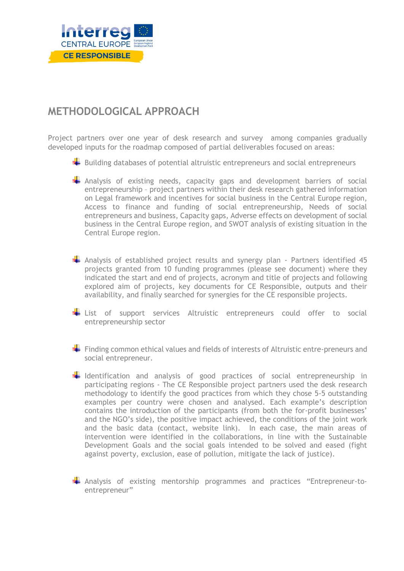

# <span id="page-3-0"></span>**METHODOLOGICAL APPROACH**

Project partners over one year of desk research and survey among companies gradually developed inputs for the roadmap composed of partial deliverables focused on areas:

- $\blacktriangleright$  Building databases of potential altruistic entrepreneurs and social entrepreneurs
- **A** Analysis of existing needs, capacity gaps and development barriers of social entrepreneurship – project partners within their desk research gathered information on Legal framework and incentives for social business in the Central Europe region, Access to finance and funding of social entrepreneurship, Needs of social entrepreneurs and business, Capacity gaps, Adverse effects on development of social business in the Central Europe region, and SWOT analysis of existing situation in the Central Europe region.
- Analysis of established project results and synergy plan Partners identified 45 projects granted from 10 funding programmes (please see document) where they indicated the start and end of projects, acronym and title of projects and following explored aim of projects, key documents for CE Responsible, outputs and their availability, and finally searched for synergies for the CE responsible projects.
- **List** of support services Altruistic entrepreneurs could offer to social entrepreneurship sector
- $\blacktriangleright$  Finding common ethical values and fields of interests of Altruistic entre-preneurs and social entrepreneur.
- $\frac{1}{2}$  Identification and analysis of good practices of social entrepreneurship in participating regions - The CE Responsible project partners used the desk research methodology to identify the good practices from which they chose 5-5 outstanding examples per country were chosen and analysed. Each example's description contains the introduction of the participants (from both the for-profit businesses' and the NGO's side), the positive impact achieved, the conditions of the joint work and the basic data (contact, website link). In each case, the main areas of intervention were identified in the collaborations, in line with the Sustainable Development Goals and the social goals intended to be solved and eased (fight against poverty, exclusion, ease of pollution, mitigate the lack of justice).
- Analysis of existing mentorship programmes and practices "Entrepreneur-toentrepreneur"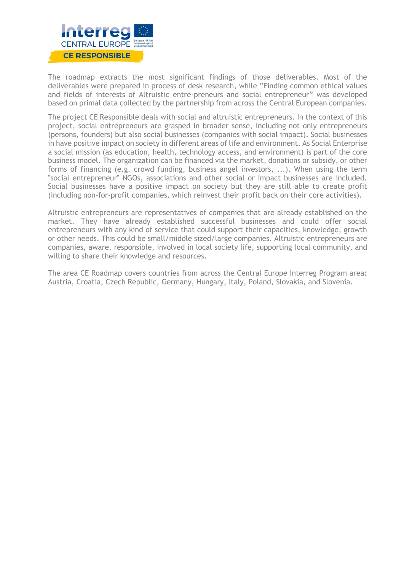

The roadmap extracts the most significant findings of those deliverables. Most of the deliverables were prepared in process of desk research, while "Finding common ethical values and fields of interests of Altruistic entre-preneurs and social entrepreneur" was developed based on primal data collected by the partnership from across the Central European companies.

The project CE Responsible deals with social and altruistic entrepreneurs. In the context of this project, social entrepreneurs are grasped in broader sense, including not only entrepreneurs (persons, founders) but also social businesses (companies with social impact). Social businesses in have positive impact on society in different areas of life and environment. As Social Enterprise a social mission (as education, health, technology access, and environment) is part of the core business model. The organization can be financed via the market, donations or subsidy, or other forms of financing (e.g. crowd funding, business angel investors, ...). When using the term "social entrepreneur" NGOs, associations and other social or impact businesses are included. Social businesses have a positive impact on society but they are still able to create profit (including non-for-profit companies, which reinvest their profit back on their core activities).

Altruistic entrepreneurs are representatives of companies that are already established on the market. They have already established successful businesses and could offer social entrepreneurs with any kind of service that could support their capacities, knowledge, growth or other needs. This could be small/middle sized/large companies. Altruistic entrepreneurs are companies, aware, responsible, involved in local society life, supporting local community, and willing to share their knowledge and resources.

The area CE Roadmap covers countries from across the Central Europe Interreg Program area: Austria, Croatia, Czech Republic, Germany, Hungary, Italy, Poland, Slovakia, and Slovenia.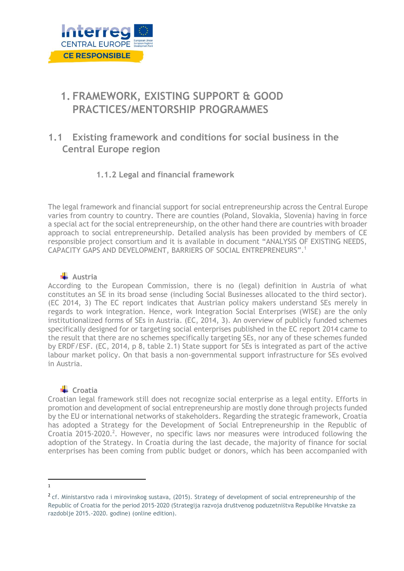

# <span id="page-5-0"></span>**1. FRAMEWORK, EXISTING SUPPORT & GOOD PRACTICES/MENTORSHIP PROGRAMMES**

# <span id="page-5-1"></span>**1.1 Existing framework and conditions for social business in the Central Europe region**

# **1.1.2 Legal and financial framework**

<span id="page-5-2"></span>The legal framework and financial support for social entrepreneurship across the Central Europe varies from country to country. There are counties (Poland, Slovakia, Slovenia) having in force a special act for the social entrepreneurship, on the other hand there are countries with broader approach to social entrepreneurship. Detailed analysis has been provided by members of CE responsible project consortium and it is available in document "ANALYSIS OF EXISTING NEEDS, CAPACITY GAPS AND DEVELOPMENT, BARRIERS OF SOCIAL ENTREPRENEURS". 1

# **Austria**

According to the European Commission, there is no (legal) definition in Austria of what constitutes an SE in its broad sense (including Social Businesses allocated to the third sector). (EC 2014, 3) The EC report indicates that Austrian policy makers understand SEs merely in regards to work integration. Hence, work Integration Social Enterprises (WISE) are the only institutionalized forms of SEs in Austria. (EC, 2014, 3). An overview of publicly funded schemes specifically designed for or targeting social enterprises published in the EC report 2014 came to the result that there are no schemes specifically targeting SEs, nor any of these schemes funded by ERDF/ESF. (EC, 2014, p 8, table 2.1) State support for SEs is integrated as part of the active labour market policy. On that basis a non-governmental support infrastructure for SEs evolved in Austria.

# **↓** Croatia

Croatian legal framework still does not recognize social enterprise as a legal entity. Efforts in promotion and development of social entrepreneurship are mostly done through projects funded by the EU or international networks of stakeholders. Regarding the strategic framework, Croatia has adopted a Strategy for the Development of Social Entrepreneurship in the Republic of Croatia 2015-2020.<sup>2</sup>. However, no specific laws nor measures were introduced following the adoption of the Strategy. In Croatia during the last decade, the majority of finance for social enterprises has been coming from public budget or donors, which has been accompanied with

<sup>1</sup>

<sup>&</sup>lt;sup>2</sup> cf. Ministarstvo rada i mirovinskog sustava, (2015). Strategy of development of social entrepreneurship of the Republic of Croatia for the period 2015-2020 (Strategija razvoja društvenog poduzetništva Republike Hrvatske za razdoblje 2015.-2020. godine) (online edition).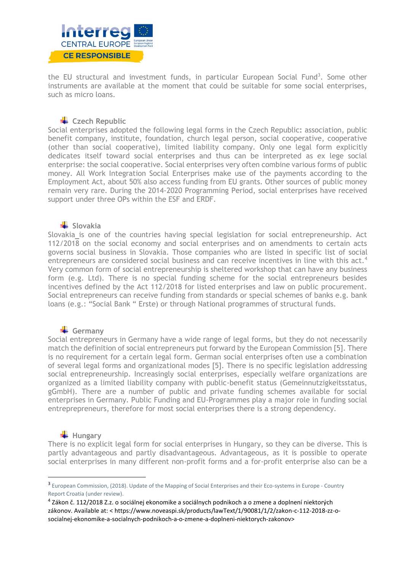

the EU structural and investment funds, in particular European Social Fund<sup>3</sup>. Some other instruments are available at the moment that could be suitable for some social enterprises, such as micro loans.

# **Czech Republic**

Social enterprises adopted the following legal forms in the Czech Republic**:** association, public benefit company, institute, foundation, church legal person, social cooperative, cooperative (other than social cooperative), limited liability company. Only one legal form explicitly dedicates itself toward social enterprises and thus can be interpreted as ex lege social enterprise: the social cooperative. Social enterprises very often combine various forms of public money. All Work Integration Social Enterprises make use of the payments according to the Employment Act, about 50% also access funding from EU grants. Other sources of public money remain very rare. During the 2014-2020 Programming Period, social enterprises have received support under three OPs within the ESF and ERDF.

# **Slovakia**

Slovakia is one of the countries having special legislation for social entrepreneurship. Act 112/2018 on the social economy and social enterprises and on amendments to certain acts governs social business in Slovakia. Those companies who are listed in specific list of social entrepreneurs are considered social business and can receive incentives in line with this act.<sup>4</sup> Very common form of social entrepreneurship is sheltered workshop that can have any business form (e.g. Ltd). There is no special funding scheme for the social entrepreneurs besides incentives defined by the Act 112/2018 for listed enterprises and law on public procurement. Social entrepreneurs can receive funding from standards or special schemes of banks e.g. bank loans (e.g.: "Social Bank " Erste) or through National programmes of structural funds.

# Germany

Social entrepreneurs in Germany have a wide range of legal forms, but they do not necessarily match the definition of social entrepreneurs put forward by the European Commission [5]. There is no requirement for a certain legal form. German social enterprises often use a combination of several legal forms and organizational modes [5]. There is no specific legislation addressing social entrepreneurship. Increasingly social enterprises, especially welfare organizations are organized as a limited liability company with public-benefit status (Gemeinnutzigkeitsstatus, gGmbH). There are a number of public and private funding schemes available for social enterprises in Germany. Public Funding and EU-Programmes play a major role in funding social entreprepreneurs, therefore for most social enterprises there is a strong dependency.

# **Hungary**

There is no explicit legal form for social enterprises in Hungary, so they can be diverse. This is partly advantageous and partly disadvantageous. Advantageous, as it is possible to operate social enterprises in many different non-profit forms and a for-profit enterprise also can be a

<sup>&</sup>lt;sup>3</sup> European Commission, (2018). Update of the Mapping of Social Enterprises and their Eco-systems in Europe - Country Report Croatia (under review).

<sup>4</sup> Zákon č. 112/2018 Z.z. o sociálnej ekonomike a sociálnych podnikoch a o zmene a doplnení niektorých zákonov. Available at: < https://www.noveaspi.sk/products/lawText/1/90081/1/2/zakon-c-112-2018-zz-osocialnej-ekonomike-a-socialnych-podnikoch-a-o-zmene-a-doplneni-niektorych-zakonov>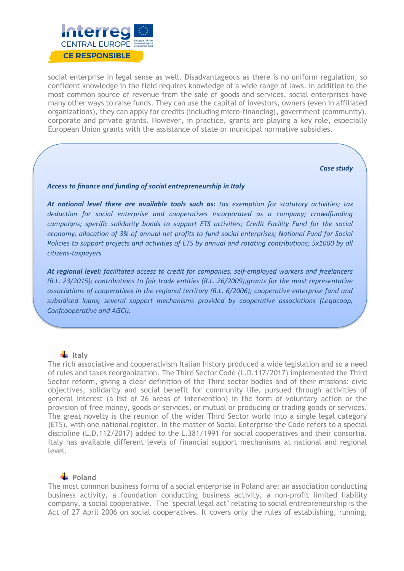

social enterprise in legal sense as well. Disadvantageous as there is no uniform regulation, so confident knowledge in the field requires knowledge of a wide range of laws. In addition to the most common source of revenue from the sale of goods and services, social enterprises have many other ways to raise funds. They can use the capital of investors, owners (even in affiliated organizations), they can apply for credits (including micro-financing), government (community), corporate and private grants. However, in practice, grants are playing a key role, especially European Union grants with the assistance of state or municipal normative subsidies.

*Case study* 

#### *Access to finance and funding of social entrepreneurship in Italy*

*At national level there are available tools such as: tax exemption for statutory activities; tax deduction for social enterprise and cooperatives incorporated as a company; crowdfunding campaigns; specific solidarity bonds to support ETS activities; Credit Facility Fund for the social economy; allocation of 3% of annual net profits to fund social enterprises; National Fund for Social Policies to support projects and activities of ETS by annual and rotating contributions; 5x1000 by all citizens-taxpayers.*

*At regional level: facilitated access to credit for companies, self-employed workers and freelancers (R.L. 23/2015); contributions to fair trade entities (R.L. 26/2009);grants for the most representative associations of cooperatives in the regional territory (R.L. 6/2006); cooperative enterprise fund and subsidised loans; several support mechanisms provided by cooperative associations (Legacoop, Confcooperative and AGCI).*

# **Italy**

The rich associative and cooperativism Italian history produced a wide legislation and so a need of rules and taxes reorganization. The Third Sector Code (L.D.117/2017) implemented the Third Sector reform, giving a clear definition of the Third sector bodies and of their missions: civic objectives, solidarity and social benefit for community life, pursued through activities of general interest (a list of 26 areas of intervention) in the form of voluntary action or the provision of free money, goods or services, or mutual or producing or trading goods or services. The great novelty is the reunion of the wider Third Sector world into a single legal category (ETS), with one national register. In the matter of Social Enterprise the Code refers to a special discipline (L.D.112/2017) added to the L.381/1991 for social cooperatives and their consortia. Italy has available different levels of financial support mechanisms at national and regional level.

#### **Poland**

The most common business forms of a social enterprise in Poland are: an association conducting business activity, a foundation conducting business activity, a non-profit limited liability company, a social cooperative. The "special legal act" relating to social entrepreneurship is the Act of 27 April 2006 on social cooperatives. It covers only the rules of establishing, running,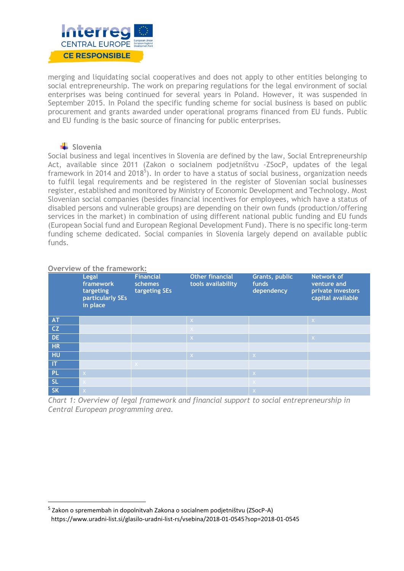

merging and liquidating social cooperatives and does not apply to other entities belonging to social entrepreneurship. The work on preparing regulations for the legal environment of social enterprises was being continued for several years in Poland. However, it was suspended in September 2015. In Poland the specific funding scheme for social business is based on public procurement and grants awarded under operational programs financed from EU funds. Public and EU funding is the basic source of financing for public enterprises.

# **Slovenia**

Social business and legal incentives in Slovenia are defined by the law, Social Entrepreneurship Act, available since 2011 (Zakon o socialnem podjetništvu -ZSocP, updates of the legal framework in 2014 and 2018<sup>5</sup>). In order to have a status of social business, organization needs to fulfil legal requirements and be registered in the register of Slovenian social businesses register, established and monitored by Ministry of Economic Development and Technology. Most Slovenian social companies (besides financial incentives for employees, which have a status of disabled persons and vulnerable groups) are depending on their own funds (production/offering services in the market) in combination of using different national public funding and EU funds (European Social fund and European Regional Development Fund). There is no specific long-term funding scheme dedicated. Social companies in Slovenia largely depend on available public funds.

# **Overview of the framework:**

|                        | Legal<br>framework<br>targeting<br>particularly SEs<br>in place | <b>Financial</b><br>schemes<br>targeting SEs | <b>Other financial</b><br>tools availability | Grants, public<br>funds<br>dependency | Network of<br>venture and<br>private investors<br>capital available |
|------------------------|-----------------------------------------------------------------|----------------------------------------------|----------------------------------------------|---------------------------------------|---------------------------------------------------------------------|
| <b>AT</b>              |                                                                 |                                              | $\mathsf{X}^{\scriptscriptstyle{+}}$         |                                       | $\mathsf{X}$                                                        |
| CZ                     |                                                                 |                                              | $\times$                                     |                                       |                                                                     |
| <b>DE</b>              |                                                                 |                                              | X                                            |                                       | $\overline{X}$                                                      |
| <b>HR</b>              |                                                                 |                                              |                                              |                                       |                                                                     |
| HU                     |                                                                 |                                              | $\mathsf{X}$                                 | $\mathsf{X}$                          |                                                                     |
| $\mathsf{I}\mathsf{T}$ |                                                                 | $\times$                                     |                                              |                                       |                                                                     |
| PL.                    | $\mathsf{X}$                                                    |                                              |                                              | $\langle \mathsf{X} \rangle$          |                                                                     |
| <b>SL</b>              |                                                                 |                                              |                                              | $\propto$                             |                                                                     |
| <b>SK</b>              | $\overline{X}$                                                  |                                              |                                              | l X <sup>i</sup>                      |                                                                     |

*Chart 1: Overview of legal framework and financial support to social entrepreneurship in Central European programming area.* 

<sup>&</sup>lt;sup>5</sup> Zakon o spremembah in dopolnitvah Zakona o socialnem podjetništvu (ZSocP-A) https://www.uradni-list.si/glasilo-uradni-list-rs/vsebina/2018-01-0545?sop=2018-01-0545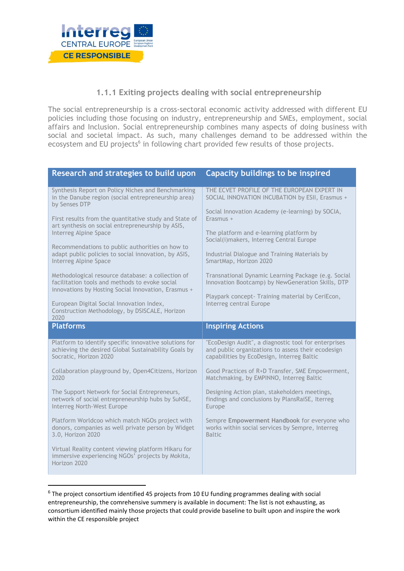

# **1.1.1 Exiting projects dealing with social entrepreneurship**

<span id="page-9-0"></span>The social entrepreneurship is a cross-sectoral economic activity addressed with different EU policies including those focusing on industry, entrepreneurship and SMEs, employment, social affairs and Inclusion. Social entrepreneurship combines many aspects of doing business with social and societal impact. As such, many challenges demand to be addressed within the ecosystem and EU projects<sup>6</sup> in following chart provided few results of those projects.

| Research and strategies to build upon                                                                                                                                                                                                                                                                                                                                                                                                                                                                                                         | Capacity buildings to be inspired                                                                                                                                                                                                                                                                                                                                                                                          |
|-----------------------------------------------------------------------------------------------------------------------------------------------------------------------------------------------------------------------------------------------------------------------------------------------------------------------------------------------------------------------------------------------------------------------------------------------------------------------------------------------------------------------------------------------|----------------------------------------------------------------------------------------------------------------------------------------------------------------------------------------------------------------------------------------------------------------------------------------------------------------------------------------------------------------------------------------------------------------------------|
| Synthesis Report on Policy Niches and Benchmarking<br>in the Danube region (social entrepreneurship area)<br>by Senses DTP                                                                                                                                                                                                                                                                                                                                                                                                                    | THE ECVET PROFILE OF THE EUROPEAN EXPERT IN<br>SOCIAL INNOVATION INCUBATION by ESII, Erasmus +                                                                                                                                                                                                                                                                                                                             |
| First results from the quantitative study and State of<br>art synthesis on social entrepreneurship by ASIS,<br>Interreg Alpine Space<br>Recommendations to public authorities on how to<br>adapt public policies to social innovation, by ASIS,<br>Interreg Alpine Space<br>Methodological resource database: a collection of<br>facilitation tools and methods to evoke social<br>innovations by Hosting Social Innovation, Erasmus +<br>European Digital Social Innovation Index,<br>Construction Methodology, by DSISCALE, Horizon<br>2020 | Social Innovation Academy (e-learning) by SOCIA,<br>Erasmus +<br>The platform and e-learning platform by<br>Social(i)makers, Interreg Central Europe<br>Industrial Dialogue and Training Materials by<br>SmartMap, Horizon 2020<br>Transnational Dynamic Learning Package (e.g. Social<br>Innovation Bootcamp) by NewGeneration Skills, DTP<br>Playpark concept- Training material by CeriEcon,<br>Interreg central Europe |
|                                                                                                                                                                                                                                                                                                                                                                                                                                                                                                                                               |                                                                                                                                                                                                                                                                                                                                                                                                                            |
| <b>Platforms</b>                                                                                                                                                                                                                                                                                                                                                                                                                                                                                                                              | <b>Inspiring Actions</b>                                                                                                                                                                                                                                                                                                                                                                                                   |
| Platform to identify specific innovative solutions for<br>achieving the desired Global Sustainability Goals by<br>Socratic, Horizon 2020                                                                                                                                                                                                                                                                                                                                                                                                      | "EcoDesign Audit", a diagnostic tool for enterprises<br>and public organizations to assess their ecodesign<br>capabilities by EcoDesign, Interreg Baltic                                                                                                                                                                                                                                                                   |
| Collaboration playground by, Open4Citizens, Horizon<br>2020                                                                                                                                                                                                                                                                                                                                                                                                                                                                                   | Good Practices of R+D Transfer, SME Empowerment,<br>Matchmaking, by EMPINNO, Interreg Baltic                                                                                                                                                                                                                                                                                                                               |
| The Support Network for Social Entrepreneurs,<br>network of social entrepreneurship hubs by SuNSE,<br>Interreg North-West Europe                                                                                                                                                                                                                                                                                                                                                                                                              | Designing Action plan, stakeholders meetings,<br>findings and conclusions by PlansRaiSE, Iterreg<br>Europe                                                                                                                                                                                                                                                                                                                 |
| Platform Worldcoo which match NGOs project with<br>donors, companies as well private person by Widget<br>3.0, Horizon 2020                                                                                                                                                                                                                                                                                                                                                                                                                    | Sempre Empowerment Handbook for everyone who<br>works within social services by Sempre, Interreg<br><b>Baltic</b>                                                                                                                                                                                                                                                                                                          |

<sup>&</sup>lt;sup>6</sup> The project consortium identified 45 projects from 10 EU funding programmes dealing with social entrepreneurship, the comrehensive summery is available in document: The list is not exhausting, as consortium identified mainly those projects that could provide baseline to built upon and inspire the work within the CE responsible project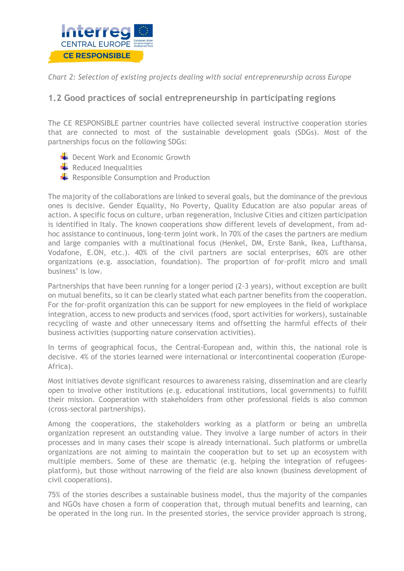

*Chart 2: Selection of existing projects dealing with social entrepreneurship across Europe*

# <span id="page-10-0"></span>**1.2 Good practices of social entrepreneurship in participating regions**

The CE RESPONSIBLE partner countries have collected several instructive cooperation stories that are connected to most of the sustainable development goals (SDGs). Most of the partnerships focus on the following SDGs:

- Decent Work and Economic Growth
- $\blacktriangle$  Reduced Inequalities
- $\overline{\phantom{a}}$  Responsible Consumption and Production

The majority of the collaborations are linked to several goals, but the dominance of the previous ones is decisive. Gender Equality, No Poverty, Quality Education are also popular areas of action. A specific focus on culture, urban regeneration, Inclusive Cities and citizen participation is identified in Italy. The known cooperations show different levels of development, from adhoc assistance to continuous, long-term joint work. In 70% of the cases the partners are medium and large companies with a multinational focus (Henkel, DM, Erste Bank, Ikea, Lufthansa, Vodafone, E.ON, etc.). 40% of the civil partners are social enterprises, 60% are other organizations (e.g. association, foundation). The proportion of for-profit micro and small business' is low.

Partnerships that have been running for a longer period (2-3 years), without exception are built on mutual benefits, so it can be clearly stated what each partner benefits from the cooperation. For the for-profit organization this can be support for new employees in the field of workplace integration, access to new products and services (food, sport activities for workers), sustainable recycling of waste and other unnecessary items and offsetting the harmful effects of their business activities (supporting nature conservation activities).

In terms of geographical focus, the Central-European and, within this, the national role is decisive. 4% of the stories learned were international or intercontinental cooperation (Europe-Africa).

Most initiatives devote significant resources to awareness raising, dissemination and are clearly open to involve other institutions (e.g. educational institutions, local governments) to fulfill their mission. Cooperation with stakeholders from other professional fields is also common (cross-sectoral partnerships).

Among the cooperations, the stakeholders working as a platform or being an umbrella organization represent an outstanding value. They involve a large number of actors in their processes and in many cases their scope is already international. Such platforms or umbrella organizations are not aiming to maintain the cooperation but to set up an ecosystem with multiple members. Some of these are thematic (e.g. helping the integration of refugeesplatform), but those without narrowing of the field are also known (business development of civil cooperations).

75% of the stories describes a sustainable business model, thus the majority of the companies and NGOs have chosen a form of cooperation that, through mutual benefits and learning, can be operated in the long run. In the presented stories, the service provider approach is strong,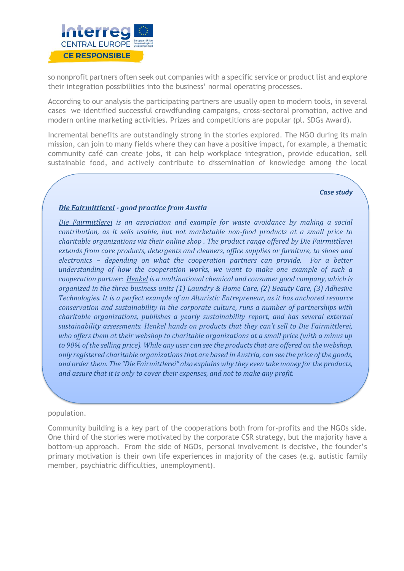

so nonprofit partners often seek out companies with a specific service or product list and explore their integration possibilities into the business' normal operating processes.

According to our analysis the participating partners are usually open to modern tools, in several cases we identified successful crowdfunding campaigns, cross-sectoral promotion, active and modern online marketing activities. Prizes and competitions are popular (pl. SDGs Award).

Incremental benefits are outstandingly strong in the stories explored. The NGO during its main mission, can join to many fields where they can have a positive impact, for example, a thematic community café can create jobs, it can help workplace integration, provide education, sell sustainable food, and actively contribute to dissemination of knowledge among the local

#### *Case study*

# *Die Fairmittlerei - good practice from Austia*

*[Die Fairmittlerei](https://shop.diefairmittlerei.at/) is an association and example for waste avoidance by making a social contribution, as it sells usable, but not marketable non-food products at a small price to charitable organizations via their online shop . The product range offered by Die Fairmittlerei extends from care products, detergents and cleaners, office supplies or furniture, to shoes and electronics – depending on what the cooperation partners can provide. For a better understanding of how the cooperation works, we want to make one example of such a cooperation partner: [Henkel](ttps://www.henkel.com/sustainability) is a multinational chemical and consumer good company, which is organized in the three business units (1) Laundry & Home Care, (2) Beauty Care, (3) Adhesive Technologies. It is a perfect example of an Alturistic Entrepreneur, as it has anchored resource conservation and sustainability in the corporate culture, runs a number of partnerships with charitable organizations, publishes a yearly sustainability report, and has several external sustainability assessments. Henkel hands on products that they can't sell to Die Fairmittlerei, who offers them at their webshop to charitable organizations at a small price (with a minus up to 90% of the selling price). While any user can see the products that are offered on the webshop, only registered charitable organizations that are based in Austria, can see the price of the goods, and order them. The "Die Fairmittlerei" also explains why they even take money for the products, and assure that it is only to cover their expenses, and not to make any profit.* 

#### population.

Community building is a key part of the cooperations both from for-profits and the NGOs side. One third of the stories were motivated by the corporate CSR strategy, but the majority have a bottom-up approach. From the side of NGOs, personal involvement is decisive, the founder's primary motivation is their own life experiences in majority of the cases (e.g. autistic family member, psychiatric difficulties, unemployment).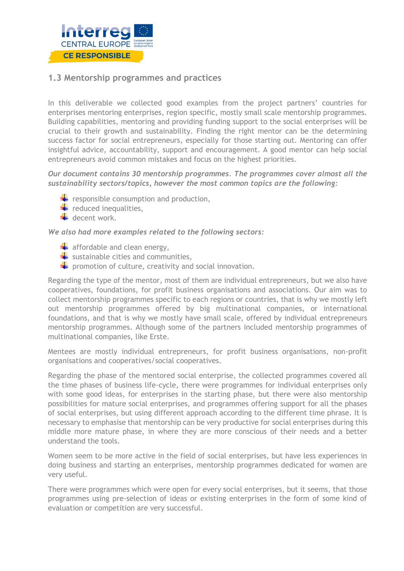

# <span id="page-12-0"></span>**1.3 Mentorship programmes and practices**

In this deliverable we collected good examples from the project partners' countries for enterprises mentoring enterprises, region specific, mostly small scale mentorship programmes. Building capabilities, mentoring and providing funding support to the social enterprises will be crucial to their growth and sustainability. Finding the right mentor can be the determining success factor for social entrepreneurs, especially for those starting out. Mentoring can offer insightful advice, accountability, support and encouragement. A good mentor can help social entrepreneurs avoid common mistakes and focus on the highest priorities.

*Our document contains 30 mentorship programmes. The programmes cover almost all the sustainability sectors/topics, however the most common topics are the following:*

- $\overline{\phantom{a}}$  responsible consumption and production,
- $\leftarrow$  reduced inequalities,
- $\overline{\phantom{a}}$  decent work.

*We also had more examples related to the following sectors:*

- $\blacktriangle$  affordable and clean energy,
- $\blacktriangleright$  sustainable cities and communities,
- $\blacktriangleright$  promotion of culture, creativity and social innovation.

Regarding the type of the mentor, most of them are individual entrepreneurs, but we also have cooperatives, foundations, for profit business organisations and associations. Our aim was to collect mentorship programmes specific to each regions or countries, that is why we mostly left out mentorship programmes offered by big multinational companies, or international foundations, and that is why we mostly have small scale, offered by individual entrepreneurs mentorship programmes. Although some of the partners included mentorship programmes of multinational companies, like Erste.

Mentees are mostly individual entrepreneurs, for profit business organisations, non-profit organisations and cooperatives/social cooperatives.

Regarding the phase of the mentored social enterprise, the collected programmes covered all the time phases of business life-cycle, there were programmes for individual enterprises only with some good ideas, for enterprises in the starting phase, but there were also mentorship possibilities for mature social enterprises, and programmes offering support for all the phases of social enterprises, but using different approach according to the different time phrase. It is necessary to emphasise that mentorship can be very productive for social enterprises during this middle more mature phase, in where they are more conscious of their needs and a better understand the tools.

Women seem to be more active in the field of social enterprises, but have less experiences in doing business and starting an enterprises, mentorship programmes dedicated for women are very useful.

There were programmes which were open for every social enterprises, but it seems, that those programmes using pre-selection of ideas or existing enterprises in the form of some kind of evaluation or competition are very successful.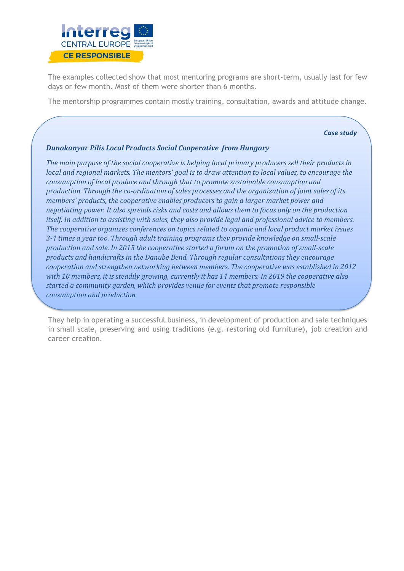

The examples collected show that most mentoring programs are short-term, usually last for few days or few month. Most of them were shorter than 6 months.

The mentorship programmes contain mostly training, consultation, awards and attitude change.

*Case study* 

# *Dunakanyar Pilis Local Products Social Cooperative from Hungary*

*The main purpose of the social cooperative is helping local primary producers sell their products in local and regional markets. The mentors' goal is to draw attention to local values, to encourage the consumption of local produce and through that to promote sustainable consumption and production. Through the co-ordination of sales processes and the organization of joint sales of its members' products, the cooperative enables producers to gain a larger market power and negotiating power. It also spreads risks and costs and allows them to focus only on the production itself. In addition to assisting with sales, they also provide legal and professional advice to members. The cooperative organizes conferences on topics related to organic and local product market issues 3-4 times a year too. Through adult training programs they provide knowledge on small-scale production and sale. In 2015 the cooperative started a forum on the promotion of small-scale products and handicrafts in the Danube Bend. Through regular consultations they encourage cooperation and strengthen networking between members. The cooperative was established in 2012 with 10 members, it is steadily growing, currently it has 14 members. In 2019 the cooperative also started a community garden, which provides venue for events that promote responsible consumption and production.*

They help in operating a successful business, in development of production and sale techniques in small scale, preserving and using traditions (e.g. restoring old furniture), job creation and career creation.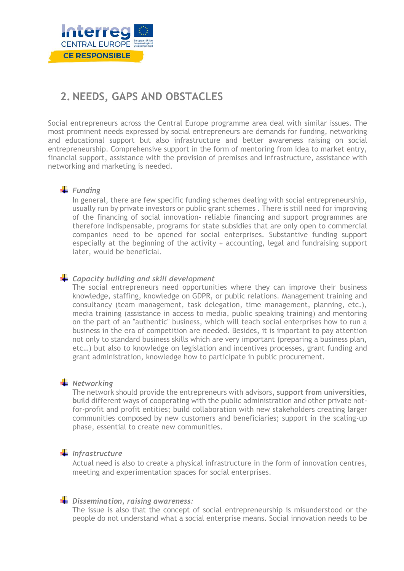

# <span id="page-14-0"></span>**2. NEEDS, GAPS AND OBSTACLES**

Social entrepreneurs across the Central Europe programme area deal with similar issues. The most prominent needs expressed by social entrepreneurs are demands for funding, networking and educational support but also infrastructure and better awareness raising on social entrepreneurship. Comprehensive support in the form of mentoring from idea to market entry, financial support, assistance with the provision of premises and infrastructure, assistance with networking and marketing is needed.

# *Funding*

In general, there are few specific funding schemes dealing with social entrepreneurship, usually run by private investors or public grant schemes . There is still need for improving of the financing of social innovation- reliable financing and support programmes are therefore indispensable, programs for state subsidies that are only open to commercial companies need to be opened for social enterprises. Substantive funding support especially at the beginning of the activity + accounting, legal and fundraising support later, would be beneficial.

# *Capacity building and skill development*

The social entrepreneurs need opportunities where they can improve their business knowledge, staffing, knowledge on GDPR, or public relations. Management training and consultancy (team management, task delegation, time management, planning, etc.), media training (assistance in access to media, public speaking training) and mentoring on the part of an "authentic" business, which will teach social enterprises how to run a business in the era of competition are needed. Besides, it is important to pay attention not only to standard business skills which are very important (preparing a business plan, etc…) but also to knowledge on legislation and incentives processes, grant funding and grant administration, knowledge how to participate in public procurement.

# **Wetworking**

The network should provide the entrepreneurs with advisors**, support from universities, b**uild different ways of cooperating with the public administration and other private notfor-profit and profit entities; build collaboration with new stakeholders creating larger communities composed by new customers and beneficiaries; support in the scaling-up phase, essential to create new communities.

# *Infrastructure*

Actual need is also to create a physical infrastructure in the form of innovation centres, meeting and experimentation spaces for social enterprises.

# *Dissemination, raising awareness:*

The issue is also that the concept of social entrepreneurship is misunderstood or the people do not understand what a social enterprise means. Social innovation needs to be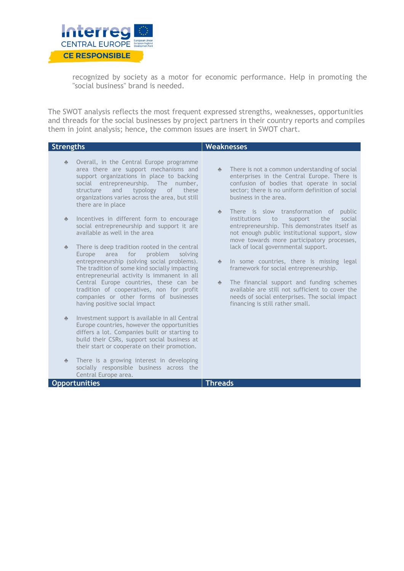

recognized by society as a motor for economic performance. Help in promoting the "social business" brand is needed.

The SWOT analysis reflects the most frequent expressed strengths, weaknesses, opportunities and threads for the social businesses by project partners in their country reports and compiles them in joint analysis; hence, the common issues are insert in SWOT chart.

| <b>Strengths</b>         |                                                                                                                                                                                                                                                                                                                                                                                                            | <b>Weaknesses</b>                                                                                                                                                                                                                                                                                                                                  |
|--------------------------|------------------------------------------------------------------------------------------------------------------------------------------------------------------------------------------------------------------------------------------------------------------------------------------------------------------------------------------------------------------------------------------------------------|----------------------------------------------------------------------------------------------------------------------------------------------------------------------------------------------------------------------------------------------------------------------------------------------------------------------------------------------------|
| $\frac{d\mathbf{r}}{dt}$ | Overall, in the Central Europe programme<br>area there are support mechanisms and<br>support organizations in place to backing<br>social entrepreneurship. The number,<br>and<br>typology<br>structure<br>of<br>these<br>organizations varies across the area, but still<br>there are in place                                                                                                             | There is not a common understanding of social<br>$\frac{\partial}{\partial x}$ .<br>enterprises in the Central Europe. There is<br>confusion of bodies that operate in social<br>sector; there is no uniform definition of social<br>business in the area.                                                                                         |
| $\frac{d\mathbf{r}}{dt}$ | Incentives in different form to encourage<br>social entrepreneurship and support it are<br>available as well in the area                                                                                                                                                                                                                                                                                   | There is slow transformation of<br>public<br>$\frac{1}{\sqrt{2}}$<br>institutions<br>support<br>the<br>social<br>to<br>entrepreneurship. This demonstrates itself as<br>not enough public institutional support, slow<br>move towards more participatory processes,                                                                                |
| $\frac{d\mathbf{r}}{dt}$ | There is deep tradition rooted in the central<br>problem<br>area for<br>Europe<br>solving<br>entrepreneurship (solving social problems).<br>The tradition of some kind socially impacting<br>entrepreneurial activity is immanent in all<br>Central Europe countries, these can be<br>tradition of cooperatives, non for profit<br>companies or other forms of businesses<br>having positive social impact | lack of local governmental support.<br>In some countries, there is missing legal<br>$\frac{1}{\sqrt{2}}$<br>framework for social entrepreneurship.<br>The financial support and funding schemes<br>$\Phi$<br>available are still not sufficient to cover the<br>needs of social enterprises. The social impact<br>financing is still rather small. |
| $\partial \mu$           | Investment support is available in all Central<br>Europe countries, however the opportunities<br>differs a lot. Companies built or starting to<br>build their CSRs, support social business at<br>their start or cooperate on their promotion.                                                                                                                                                             |                                                                                                                                                                                                                                                                                                                                                    |
| $\frac{d^2}{dx^2}$       | There is a growing interest in developing<br>socially responsible business across the<br>Central Europe area.                                                                                                                                                                                                                                                                                              |                                                                                                                                                                                                                                                                                                                                                    |

**Opportunities Threads**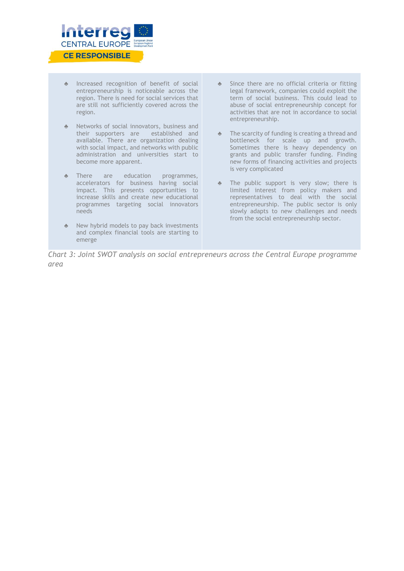

- ♣ Increased recognition of benefit of social entrepreneurship is noticeable across the region. There is need for social services that are still not sufficiently covered across the region.
- ♣ Networks of social innovators, business and their supporters are established and available. There are organization dealing with social impact, and networks with public administration and universities start to become more apparent.
- ♣ There are education programmes, accelerators for business having social impact. This presents opportunities to increase skills and create new educational programmes targeting social innovators needs
- New hybrid models to pay back investments and complex financial tools are starting to emerge
- ♣ Since there are no official criteria or fitting legal framework, companies could exploit the term of social business. This could lead to abuse of social entrepreneurship concept for activities that are not in accordance to social entrepreneurship.
- ♣ The scarcity of funding is creating a thread and bottleneck for scale up and growth. Sometimes there is heavy dependency on grants and public transfer funding. Finding new forms of financing activities and projects is very complicated
- ♣ The public support is very slow; there is limited interest from policy makers and representatives to deal with the social entrepreneurship. The public sector is only slowly adapts to new challenges and needs from the social entrepreneurship sector.

*Chart 3: Joint SWOT analysis on social entrepreneurs across the Central Europe programme area*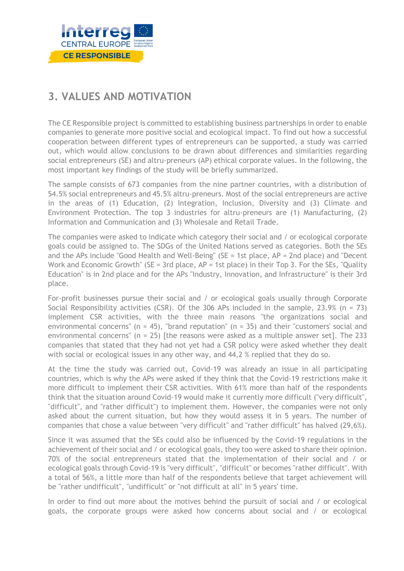

# <span id="page-17-0"></span>**3. VALUES AND MOTIVATION**

The CE Responsible project is committed to establishing business partnerships in order to enable companies to generate more positive social and ecological impact. To find out how a successful cooperation between different types of entrepreneurs can be supported, a study was carried out, which would allow conclusions to be drawn about differences and similarities regarding social entrepreneurs (SE) and altru-preneurs (AP) ethical corporate values. In the following, the most important key findings of the study will be briefly summarized.

The sample consists of 673 companies from the nine partner countries, with a distribution of 54.5% social entrepreneurs and 45.5% altru-preneurs. Most of the social entrepreneurs are active in the areas of (1) Education, (2) Integration, Inclusion, Diversity and (3) Climate and Environment Protection. The top 3 industries for altru-preneurs are (1) Manufacturing, (2) Information and Communication and (3) Wholesale and Retail Trade.

The companies were asked to indicate which category their social and / or ecological corporate goals could be assigned to. The SDGs of the United Nations served as categories. Both the SEs and the APs include "Good Health and Well-Being" (SE = 1st place, AP = 2nd place) and "Decent Work and Economic Growth" (SE = 3rd place,  $AP = 1$ st place) in their Top 3. For the SEs, "Quality Education" is in 2nd place and for the APs "Industry, Innovation, and Infrastructure" is their 3rd place.

For-profit businesses pursue their social and / or ecological goals usually through Corporate Social Responsibility activities (CSR). Of the 306 APs included in the sample, 23.9% (n = 73) implement CSR activities, with the three main reasons "the organizations social and environmental concerns" (n = 45), "brand reputation" (n = 35) and their "customers' social and environmental concerns" ( $n = 25$ ) [the reasons were asked as a multiple answer set]. The 233 companies that stated that they had not yet had a CSR policy were asked whether they dealt with social or ecological issues in any other way, and 44,2 % replied that they do so.

At the time the study was carried out, Covid-19 was already an issue in all participating countries, which is why the APs were asked if they think that the Covid-19 restrictions make it more difficult to implement their CSR activities. With 61% more than half of the respondents think that the situation around Covid-19 would make it currently more difficult ("very difficult", "difficult", and "rather difficult") to implement them. However, the companies were not only asked about the current situation, but how they would assess it in 5 years. The number of companies that chose a value between "very difficult" and "rather difficult" has halved (29,6%).

Since it was assumed that the SEs could also be influenced by the Covid-19 regulations in the achievement of their social and / or ecological goals, they too were asked to share their opinion. 70% of the social entrepreneurs stated that the implementation of their social and / or ecological goals through Covid-19 is "very difficult", "difficult" or becomes "rather difficult". With a total of 56%, a little more than half of the respondents believe that target achievement will be "rather undifficult", "undifficult" or "not difficult at all" in 5 years' time.

In order to find out more about the motives behind the pursuit of social and / or ecological goals, the corporate groups were asked how concerns about social and / or ecological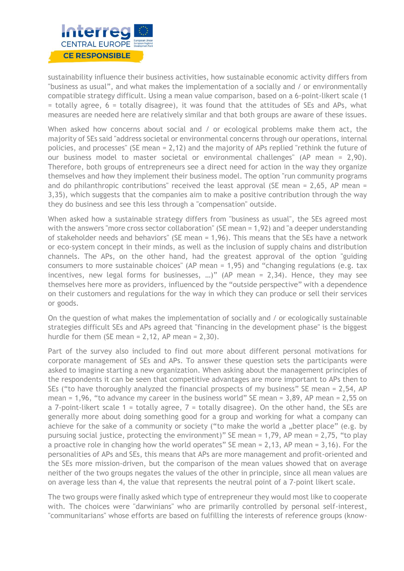

sustainability influence their business activities, how sustainable economic activity differs from "business as usual", and what makes the implementation of a socially and / or environmentally compatible strategy difficult. Using a mean value comparison, based on a 6-point-likert scale (1  $=$  totally agree, 6  $=$  totally disagree), it was found that the attitudes of SEs and APs, what measures are needed here are relatively similar and that both groups are aware of these issues.

When asked how concerns about social and / or ecological problems make them act, the majority of SEs said "address societal or environmental concerns through our operations, internal policies, and processes" (SE mean = 2,12) and the majority of APs replied "rethink the future of our business model to master societal or environmental challenges" (AP mean = 2,90). Therefore, both groups of entrepreneurs see a direct need for action in the way they organize themselves and how they implement their business model. The option "run community programs and do philanthropic contributions" received the least approval (SE mean =  $2,65$ , AP mean = 3,35), which suggests that the companies aim to make a positive contribution through the way they do business and see this less through a "compensation" outside.

When asked how a sustainable strategy differs from "business as usual", the SEs agreed most with the answers "more cross sector collaboration" (SE mean = 1,92) and "a deeper understanding of stakeholder needs and behaviors" (SE mean = 1,96). This means that the SEs have a network or eco-system concept in their minds, as well as the inclusion of supply chains and distribution channels. The APs, on the other hand, had the greatest approval of the option "guiding consumers to more sustainable choices" (AP mean = 1,95) and "changing regulations (e.g. tax incentives, new legal forms for businesses, …)" (AP mean = 2,34). Hence, they may see themselves here more as providers, influenced by the "outside perspective" with a dependence on their customers and regulations for the way in which they can produce or sell their services or goods.

On the question of what makes the implementation of socially and / or ecologically sustainable strategies difficult SEs and APs agreed that "financing in the development phase" is the biggest hurdle for them (SE mean  $= 2,12$ , AP mean  $= 2,30$ ).

Part of the survey also included to find out more about different personal motivations for corporate management of SEs and APs. To answer these question sets the participants were asked to imagine starting a new organization. When asking about the management principles of the respondents it can be seen that competitive advantages are more important to APs then to SEs ("to have thoroughly analyzed the financial prospects of my business" SE mean = 2,54, AP mean = 1,96, "to advance my career in the business world" SE mean =  $3,89$ , AP mean =  $2,55$  on a 7-point-likert scale  $1$  = totally agree,  $7$  = totally disagree). On the other hand, the SEs are generally more about doing something good for a group and working for what a company can achieve for the sake of a community or society ("to make the world a "better place" (e.g. by pursuing social justice, protecting the environment)" SE mean = 1,79, AP mean = 2,75, "to play a proactive role in changing how the world operates" SE mean  $= 2,13$ , AP mean  $= 3,16$ ). For the personalities of APs and SEs, this means that APs are more management and profit-oriented and the SEs more mission-driven, but the comparison of the mean values showed that on average neither of the two groups negates the values of the other in principle, since all mean values are on average less than 4, the value that represents the neutral point of a 7-point likert scale.

The two groups were finally asked which type of entrepreneur they would most like to cooperate with. The choices were "darwinians" who are primarily controlled by personal self-interest, "communitarians" whose efforts are based on fulfilling the interests of reference groups (know-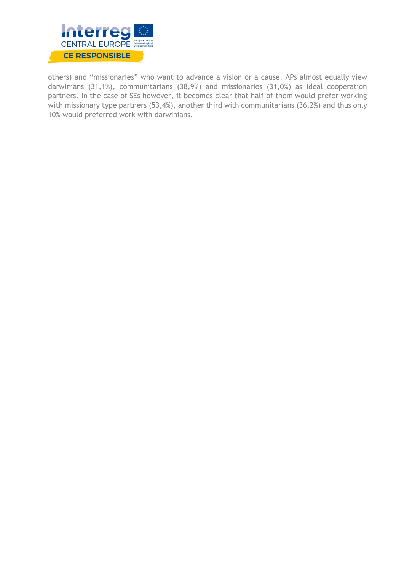

others) and "missionaries" who want to advance a vision or a cause. APs almost equally view darwinians (31,1%), communitarians (38,9%) and missionaries (31,0%) as ideal cooperation partners. In the case of SEs however, it becomes clear that half of them would prefer working with missionary type partners (53,4%), another third with communitarians (36,2%) and thus only 10% would preferred work with darwinians.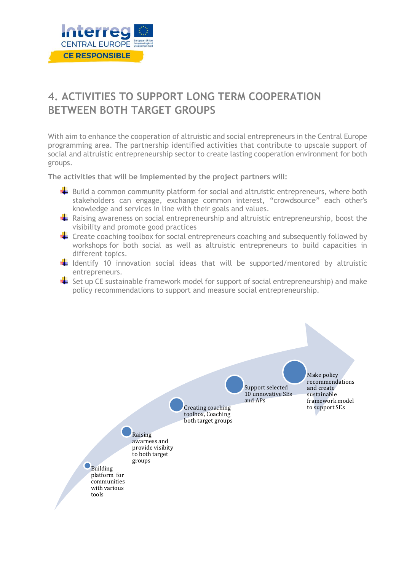

# <span id="page-20-0"></span>**4. ACTIVITIES TO SUPPORT LONG TERM COOPERATION BETWEEN BOTH TARGET GROUPS**

With aim to enhance the cooperation of altruistic and social entrepreneurs in the Central Europe programming area. The partnership identified activities that contribute to upscale support of social and altruistic entrepreneurship sector to create lasting cooperation environment for both groups.

**The activities that will be implemented by the project partners will:** 

- $\blacktriangleright$  Build a common community platform for social and altruistic entrepreneurs, where both stakeholders can engage, exchange common interest, "crowdsource" each other's knowledge and services in line with their goals and values.
- Raising awareness on social entrepreneurship and altruistic entrepreneurship, boost the visibility and promote good practices
- $\blacktriangleright$  Create coaching toolbox for social entrepreneurs coaching and subsequently followed by workshops for both social as well as altruistic entrepreneurs to build capacities in different topics.
- $\frac{1}{2}$  Identify 10 innovation social ideas that will be supported/mentored by altruistic entrepreneurs.
- $\blacktriangle$  Set up CE sustainable framework model for support of social entrepreneurship) and make policy recommendations to support and measure social entrepreneurship.

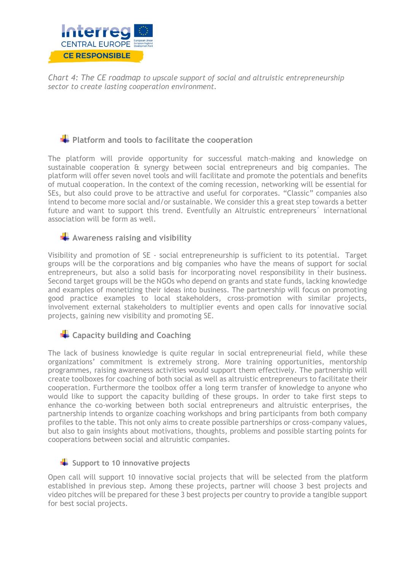

*Chart 4: The CE roadmap to upscale support of social and altruistic entrepreneurship sector to create lasting cooperation environment.*

# **PLATFILIAGTER 12** Platform and tools to facilitate the cooperation

The platform will provide opportunity for successful match-making and knowledge on sustainable cooperation & synergy between social entrepreneurs and big companies. The platform will offer seven novel tools and will facilitate and promote the potentials and benefits of mutual cooperation. In the context of the coming recession, networking will be essential for SEs, but also could prove to be attractive and useful for corporates. "Classic" companies also intend to become more social and/or sustainable. We consider this a great step towards a better future and want to support this trend. Eventfully an Altruistic entrepreneurs<sup>'</sup> international association will be form as well.

# **Awareness raising and visibility**

Visibility and promotion of SE - social entrepreneurship is sufficient to its potential. Target groups will be the corporations and big companies who have the means of support for social entrepreneurs, but also a solid basis for incorporating novel responsibility in their business. Second target groups will be the NGOs who depend on grants and state funds, lacking knowledge and examples of monetizing their ideas into business. The partnership will focus on promoting good practice examples to local stakeholders, cross-promotion with similar projects, involvement external stakeholders to multiplier events and open calls for innovative social projects, gaining new visibility and promoting SE.

# **Example 2** Capacity building and Coaching

The lack of business knowledge is quite regular in social entrepreneurial field, while these organizations' commitment is extremely strong. More training opportunities, mentorship programmes, raising awareness activities would support them effectively. The partnership will create toolboxes for coaching of both social as well as altruistic entrepreneurs to facilitate their cooperation. Furthermore the toolbox offer a long term transfer of knowledge to anyone who would like to support the capacity building of these groups. In order to take first steps to enhance the co-working between both social entrepreneurs and altruistic enterprises, the partnership intends to organize coaching workshops and bring participants from both company profiles to the table. This not only aims to create possible partnerships or cross-company values, but also to gain insights about motivations, thoughts, problems and possible starting points for cooperations between social and altruistic companies.

# Support to 10 innovative projects

Open call will support 10 innovative social projects that will be selected from the platform established in previous step. Among these projects, partner will choose 3 best projects and video pitches will be prepared for these 3 best projects per country to provide a tangible support for best social projects.